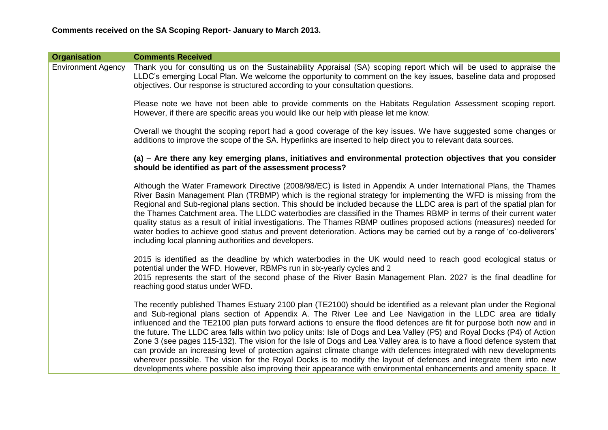| <b>Organisation</b>       | <b>Comments Received</b>                                                                                                                                                                                                                                                                                                                                                                                                                                                                                                                                                                                                                                                                                                                                                                                                                                                                                                                                                          |
|---------------------------|-----------------------------------------------------------------------------------------------------------------------------------------------------------------------------------------------------------------------------------------------------------------------------------------------------------------------------------------------------------------------------------------------------------------------------------------------------------------------------------------------------------------------------------------------------------------------------------------------------------------------------------------------------------------------------------------------------------------------------------------------------------------------------------------------------------------------------------------------------------------------------------------------------------------------------------------------------------------------------------|
| <b>Environment Agency</b> | Thank you for consulting us on the Sustainability Appraisal (SA) scoping report which will be used to appraise the<br>LLDC's emerging Local Plan. We welcome the opportunity to comment on the key issues, baseline data and proposed<br>objectives. Our response is structured according to your consultation questions.                                                                                                                                                                                                                                                                                                                                                                                                                                                                                                                                                                                                                                                         |
|                           | Please note we have not been able to provide comments on the Habitats Regulation Assessment scoping report.<br>However, if there are specific areas you would like our help with please let me know.                                                                                                                                                                                                                                                                                                                                                                                                                                                                                                                                                                                                                                                                                                                                                                              |
|                           | Overall we thought the scoping report had a good coverage of the key issues. We have suggested some changes or<br>additions to improve the scope of the SA. Hyperlinks are inserted to help direct you to relevant data sources.                                                                                                                                                                                                                                                                                                                                                                                                                                                                                                                                                                                                                                                                                                                                                  |
|                           | (a) – Are there any key emerging plans, initiatives and environmental protection objectives that you consider<br>should be identified as part of the assessment process?                                                                                                                                                                                                                                                                                                                                                                                                                                                                                                                                                                                                                                                                                                                                                                                                          |
|                           | Although the Water Framework Directive (2008/98/EC) is listed in Appendix A under International Plans, the Thames<br>River Basin Management Plan (TRBMP) which is the regional strategy for implementing the WFD is missing from the<br>Regional and Sub-regional plans section. This should be included because the LLDC area is part of the spatial plan for<br>the Thames Catchment area. The LLDC waterbodies are classified in the Thames RBMP in terms of their current water<br>quality status as a result of initial investigations. The Thames RBMP outlines proposed actions (measures) needed for<br>water bodies to achieve good status and prevent deterioration. Actions may be carried out by a range of 'co-deliverers'<br>including local planning authorities and developers.                                                                                                                                                                                   |
|                           | 2015 is identified as the deadline by which waterbodies in the UK would need to reach good ecological status or<br>potential under the WFD. However, RBMPs run in six-yearly cycles and 2<br>2015 represents the start of the second phase of the River Basin Management Plan. 2027 is the final deadline for<br>reaching good status under WFD.                                                                                                                                                                                                                                                                                                                                                                                                                                                                                                                                                                                                                                  |
|                           | The recently published Thames Estuary 2100 plan (TE2100) should be identified as a relevant plan under the Regional<br>and Sub-regional plans section of Appendix A. The River Lee and Lee Navigation in the LLDC area are tidally<br>influenced and the TE2100 plan puts forward actions to ensure the flood defences are fit for purpose both now and in<br>the future. The LLDC area falls within two policy units: Isle of Dogs and Lea Valley (P5) and Royal Docks (P4) of Action<br>Zone 3 (see pages 115-132). The vision for the Isle of Dogs and Lea Valley area is to have a flood defence system that<br>can provide an increasing level of protection against climate change with defences integrated with new developments<br>wherever possible. The vision for the Royal Docks is to modify the layout of defences and integrate them into new<br>developments where possible also improving their appearance with environmental enhancements and amenity space. It |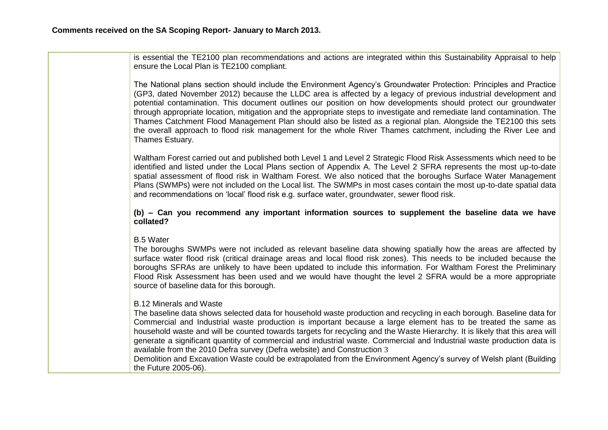is essential the TE2100 plan recommendations and actions are integrated within this Sustainability Appraisal to help ensure the Local Plan is TE2100 compliant.

The National plans section should include the Environment Agency's Groundwater Protection: Principles and Practice (GP3, dated November 2012) because the LLDC area is affected by a legacy of previous industrial development and potential contamination. This document outlines our position on how developments should protect our groundwater through appropriate location, mitigation and the appropriate steps to investigate and remediate land contamination. The Thames Catchment Flood Management Plan should also be listed as a regional plan. Alongside the TE2100 this sets the overall approach to flood risk management for the whole River Thames catchment, including the River Lee and Thames Estuary.

Waltham Forest carried out and published both Level 1 and Level 2 Strategic Flood Risk Assessments which need to be identified and listed under the Local Plans section of Appendix A. The Level 2 SFRA represents the most up-to-date spatial assessment of flood risk in Waltham Forest. We also noticed that the boroughs Surface Water Management Plans (SWMPs) were not included on the Local list. The SWMPs in most cases contain the most up-to-date spatial data and recommendations on 'local' flood risk e.g. surface water, groundwater, sewer flood risk.

**(b) – Can you recommend any important information sources to supplement the baseline data we have collated?** 

B.5 Water

The boroughs SWMPs were not included as relevant baseline data showing spatially how the areas are affected by surface water flood risk (critical drainage areas and local flood risk zones). This needs to be included because the boroughs SFRAs are unlikely to have been updated to include this information. For Waltham Forest the Preliminary Flood Risk Assessment has been used and we would have thought the level 2 SFRA would be a more appropriate source of baseline data for this borough.

B.12 Minerals and Waste

The baseline data shows selected data for household waste production and recycling in each borough. Baseline data for Commercial and Industrial waste production is important because a large element has to be treated the same as household waste and will be counted towards targets for recycling and the Waste Hierarchy. It is likely that this area will generate a significant quantity of commercial and industrial waste. Commercial and Industrial waste production data is available from the 2010 Defra survey (Defra website) and Construction 3

Demolition and Excavation Waste could be extrapolated from the Environment Agency's survey of Welsh plant (Building the Future 2005-06).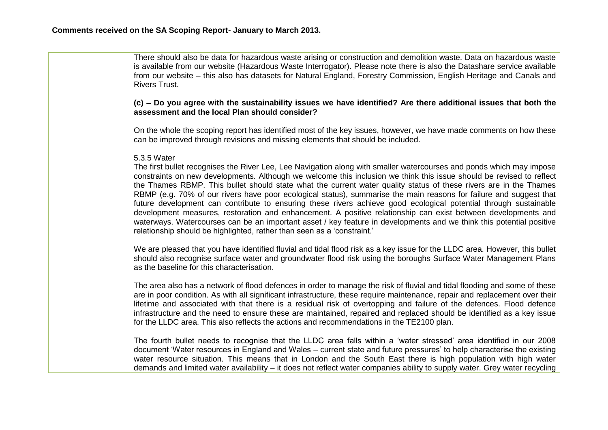| There should also be data for hazardous waste arising or construction and demolition waste. Data on hazardous waste<br>is available from our website (Hazardous Waste Interrogator). Please note there is also the Datashare service available<br>from our website – this also has datasets for Natural England, Forestry Commission, English Heritage and Canals and<br><b>Rivers Trust.</b>                                                                                                                                                                                                                                                                                                                                                                                                                                                                                                                                                  |
|------------------------------------------------------------------------------------------------------------------------------------------------------------------------------------------------------------------------------------------------------------------------------------------------------------------------------------------------------------------------------------------------------------------------------------------------------------------------------------------------------------------------------------------------------------------------------------------------------------------------------------------------------------------------------------------------------------------------------------------------------------------------------------------------------------------------------------------------------------------------------------------------------------------------------------------------|
| (c) - Do you agree with the sustainability issues we have identified? Are there additional issues that both the<br>assessment and the local Plan should consider?                                                                                                                                                                                                                                                                                                                                                                                                                                                                                                                                                                                                                                                                                                                                                                              |
| On the whole the scoping report has identified most of the key issues, however, we have made comments on how these<br>can be improved through revisions and missing elements that should be included.                                                                                                                                                                                                                                                                                                                                                                                                                                                                                                                                                                                                                                                                                                                                          |
| 5.3.5 Water<br>The first bullet recognises the River Lee, Lee Navigation along with smaller watercourses and ponds which may impose<br>constraints on new developments. Although we welcome this inclusion we think this issue should be revised to reflect<br>the Thames RBMP. This bullet should state what the current water quality status of these rivers are in the Thames<br>RBMP (e.g. 70% of our rivers have poor ecological status), summarise the main reasons for failure and suggest that<br>future development can contribute to ensuring these rivers achieve good ecological potential through sustainable<br>development measures, restoration and enhancement. A positive relationship can exist between developments and<br>waterways. Watercourses can be an important asset / key feature in developments and we think this potential positive<br>relationship should be highlighted, rather than seen as a 'constraint.' |
| We are pleased that you have identified fluvial and tidal flood risk as a key issue for the LLDC area. However, this bullet<br>should also recognise surface water and groundwater flood risk using the boroughs Surface Water Management Plans<br>as the baseline for this characterisation.                                                                                                                                                                                                                                                                                                                                                                                                                                                                                                                                                                                                                                                  |
| The area also has a network of flood defences in order to manage the risk of fluvial and tidal flooding and some of these<br>are in poor condition. As with all significant infrastructure, these require maintenance, repair and replacement over their<br>lifetime and associated with that there is a residual risk of overtopping and failure of the defences. Flood defence<br>infrastructure and the need to ensure these are maintained, repaired and replaced should be identified as a key issue<br>for the LLDC area. This also reflects the actions and recommendations in the TE2100 plan.                                                                                                                                                                                                                                                                                                                                         |
| The fourth bullet needs to recognise that the LLDC area falls within a 'water stressed' area identified in our 2008<br>document 'Water resources in England and Wales – current state and future pressures' to help characterise the existing<br>water resource situation. This means that in London and the South East there is high population with high water<br>demands and limited water availability – it does not reflect water companies ability to supply water. Grey water recycling                                                                                                                                                                                                                                                                                                                                                                                                                                                 |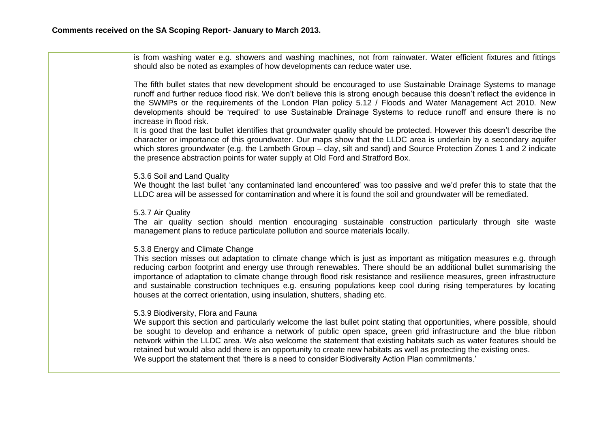| is from washing water e.g. showers and washing machines, not from rainwater. Water efficient fixtures and fittings<br>should also be noted as examples of how developments can reduce water use.                                                                                                                                                                                                                                                                                                                                                                                                                                      |
|---------------------------------------------------------------------------------------------------------------------------------------------------------------------------------------------------------------------------------------------------------------------------------------------------------------------------------------------------------------------------------------------------------------------------------------------------------------------------------------------------------------------------------------------------------------------------------------------------------------------------------------|
| The fifth bullet states that new development should be encouraged to use Sustainable Drainage Systems to manage<br>runoff and further reduce flood risk. We don't believe this is strong enough because this doesn't reflect the evidence in<br>the SWMPs or the requirements of the London Plan policy 5.12 / Floods and Water Management Act 2010. New<br>developments should be 'required' to use Sustainable Drainage Systems to reduce runoff and ensure there is no<br>increase in flood risk.                                                                                                                                  |
| It is good that the last bullet identifies that groundwater quality should be protected. However this doesn't describe the<br>character or importance of this groundwater. Our maps show that the LLDC area is underlain by a secondary aquifer<br>which stores groundwater (e.g. the Lambeth Group – clay, silt and sand) and Source Protection Zones 1 and 2 indicate<br>the presence abstraction points for water supply at Old Ford and Stratford Box.                                                                                                                                                                            |
| 5.3.6 Soil and Land Quality<br>We thought the last bullet 'any contaminated land encountered' was too passive and we'd prefer this to state that the<br>LLDC area will be assessed for contamination and where it is found the soil and groundwater will be remediated.                                                                                                                                                                                                                                                                                                                                                               |
| 5.3.7 Air Quality<br>The air quality section should mention encouraging sustainable construction particularly through site waste<br>management plans to reduce particulate pollution and source materials locally.                                                                                                                                                                                                                                                                                                                                                                                                                    |
| 5.3.8 Energy and Climate Change<br>This section misses out adaptation to climate change which is just as important as mitigation measures e.g. through<br>reducing carbon footprint and energy use through renewables. There should be an additional bullet summarising the<br>importance of adaptation to climate change through flood risk resistance and resilience measures, green infrastructure<br>and sustainable construction techniques e.g. ensuring populations keep cool during rising temperatures by locating<br>houses at the correct orientation, using insulation, shutters, shading etc.                            |
| 5.3.9 Biodiversity, Flora and Fauna<br>We support this section and particularly welcome the last bullet point stating that opportunities, where possible, should<br>be sought to develop and enhance a network of public open space, green grid infrastructure and the blue ribbon<br>network within the LLDC area. We also welcome the statement that existing habitats such as water features should be<br>retained but would also add there is an opportunity to create new habitats as well as protecting the existing ones.<br>We support the statement that 'there is a need to consider Biodiversity Action Plan commitments.' |
|                                                                                                                                                                                                                                                                                                                                                                                                                                                                                                                                                                                                                                       |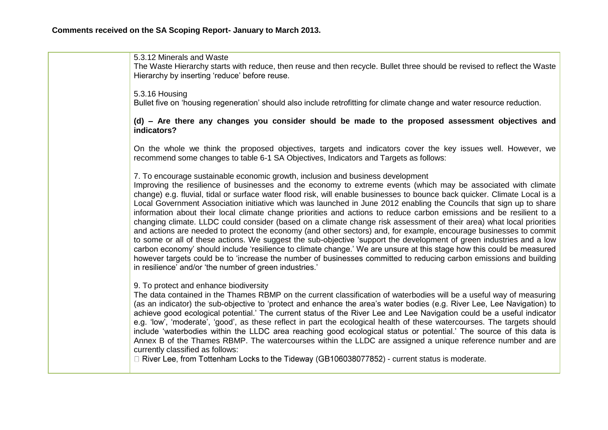| 5.3.12 Minerals and Waste<br>The Waste Hierarchy starts with reduce, then reuse and then recycle. Bullet three should be revised to reflect the Waste<br>Hierarchy by inserting 'reduce' before reuse.                                                                                                                                                                                                                                                                                                                                                                                                                                                                                                                                                                                                                                                                                                                                                                                                                                                                                                                                                                                                                                                          |
|-----------------------------------------------------------------------------------------------------------------------------------------------------------------------------------------------------------------------------------------------------------------------------------------------------------------------------------------------------------------------------------------------------------------------------------------------------------------------------------------------------------------------------------------------------------------------------------------------------------------------------------------------------------------------------------------------------------------------------------------------------------------------------------------------------------------------------------------------------------------------------------------------------------------------------------------------------------------------------------------------------------------------------------------------------------------------------------------------------------------------------------------------------------------------------------------------------------------------------------------------------------------|
| 5.3.16 Housing<br>Bullet five on 'housing regeneration' should also include retrofitting for climate change and water resource reduction.                                                                                                                                                                                                                                                                                                                                                                                                                                                                                                                                                                                                                                                                                                                                                                                                                                                                                                                                                                                                                                                                                                                       |
| (d) - Are there any changes you consider should be made to the proposed assessment objectives and<br>indicators?                                                                                                                                                                                                                                                                                                                                                                                                                                                                                                                                                                                                                                                                                                                                                                                                                                                                                                                                                                                                                                                                                                                                                |
| On the whole we think the proposed objectives, targets and indicators cover the key issues well. However, we<br>recommend some changes to table 6-1 SA Objectives, Indicators and Targets as follows:                                                                                                                                                                                                                                                                                                                                                                                                                                                                                                                                                                                                                                                                                                                                                                                                                                                                                                                                                                                                                                                           |
| 7. To encourage sustainable economic growth, inclusion and business development<br>Improving the resilience of businesses and the economy to extreme events (which may be associated with climate<br>change) e.g. fluvial, tidal or surface water flood risk, will enable businesses to bounce back quicker. Climate Local is a<br>Local Government Association initiative which was launched in June 2012 enabling the Councils that sign up to share<br>information about their local climate change priorities and actions to reduce carbon emissions and be resilient to a<br>changing climate. LLDC could consider (based on a climate change risk assessment of their area) what local priorities<br>and actions are needed to protect the economy (and other sectors) and, for example, encourage businesses to commit<br>to some or all of these actions. We suggest the sub-objective 'support the development of green industries and a low<br>carbon economy' should include 'resilience to climate change.' We are unsure at this stage how this could be measured<br>however targets could be to 'increase the number of businesses committed to reducing carbon emissions and building<br>in resilience' and/or 'the number of green industries.' |
| 9. To protect and enhance biodiversity<br>The data contained in the Thames RBMP on the current classification of waterbodies will be a useful way of measuring<br>(as an indicator) the sub-objective to 'protect and enhance the area's water bodies (e.g. River Lee, Lee Navigation) to<br>achieve good ecological potential.' The current status of the River Lee and Lee Navigation could be a useful indicator<br>e.g. 'low', 'moderate', 'good', as these reflect in part the ecological health of these watercourses. The targets should<br>include 'waterbodies within the LLDC area reaching good ecological status or potential.' The source of this data is<br>Annex B of the Thames RBMP. The watercourses within the LLDC are assigned a unique reference number and are<br>currently classified as follows:<br>□ River Lee, from Tottenham Locks to the Tideway (GB106038077852) - current status is moderate.                                                                                                                                                                                                                                                                                                                                    |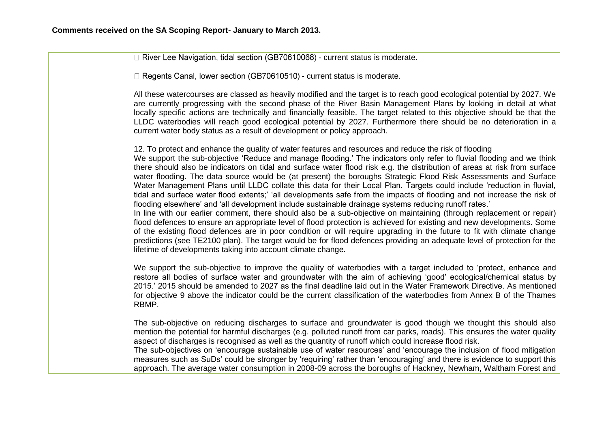$\Box$  River Lee Navigation, tidal section (GB70610068) - current status is moderate.

 $\Box$  Regents Canal, lower section (GB70610510) - current status is moderate.

All these watercourses are classed as heavily modified and the target is to reach good ecological potential by 2027. We are currently progressing with the second phase of the River Basin Management Plans by looking in detail at what locally specific actions are technically and financially feasible. The target related to this objective should be that the LLDC waterbodies will reach good ecological potential by 2027. Furthermore there should be no deterioration in a current water body status as a result of development or policy approach.

12. To protect and enhance the quality of water features and resources and reduce the risk of flooding We support the sub-objective 'Reduce and manage flooding.' The indicators only refer to fluvial flooding and we think there should also be indicators on tidal and surface water flood risk e.g. the distribution of areas at risk from surface water flooding. The data source would be (at present) the boroughs Strategic Flood Risk Assessments and Surface Water Management Plans until LLDC collate this data for their Local Plan. Targets could include 'reduction in fluvial, tidal and surface water flood extents;' 'all developments safe from the impacts of flooding and not increase the risk of flooding elsewhere' and 'all development include sustainable drainage systems reducing runoff rates.'

In line with our earlier comment, there should also be a sub-objective on maintaining (through replacement or repair) flood defences to ensure an appropriate level of flood protection is achieved for existing and new developments. Some of the existing flood defences are in poor condition or will require upgrading in the future to fit with climate change predictions (see TE2100 plan). The target would be for flood defences providing an adequate level of protection for the lifetime of developments taking into account climate change.

We support the sub-objective to improve the quality of waterbodies with a target included to 'protect, enhance and restore all bodies of surface water and groundwater with the aim of achieving 'good' ecological/chemical status by 2015.' 2015 should be amended to 2027 as the final deadline laid out in the Water Framework Directive. As mentioned for objective 9 above the indicator could be the current classification of the waterbodies from Annex B of the Thames RBMP.

The sub-objective on reducing discharges to surface and groundwater is good though we thought this should also mention the potential for harmful discharges (e.g. polluted runoff from car parks, roads). This ensures the water quality aspect of discharges is recognised as well as the quantity of runoff which could increase flood risk.

The sub-objectives on 'encourage sustainable use of water resources' and 'encourage the inclusion of flood mitigation measures such as SuDs' could be stronger by 'requiring' rather than 'encouraging' and there is evidence to support this approach. The average water consumption in 2008-09 across the boroughs of Hackney, Newham, Waltham Forest and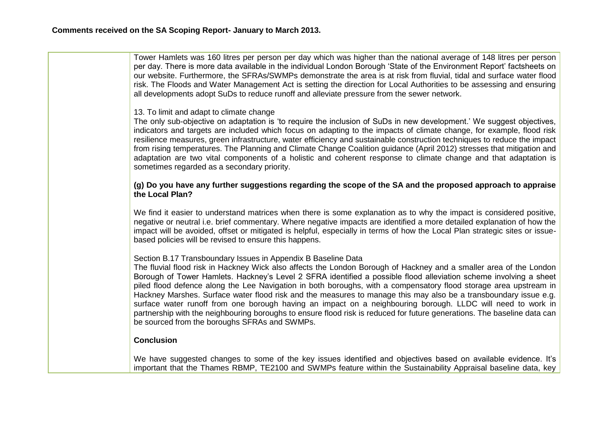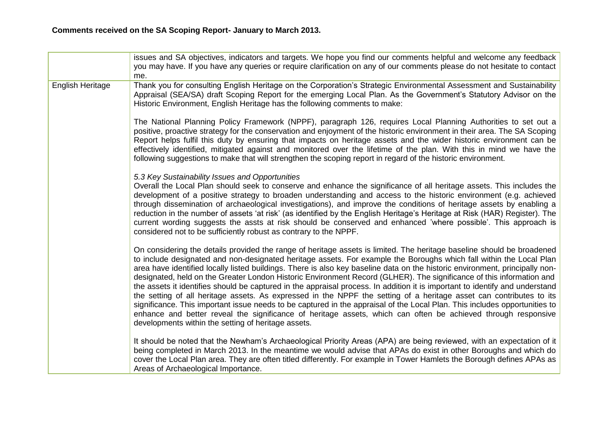|                  | issues and SA objectives, indicators and targets. We hope you find our comments helpful and welcome any feedback<br>you may have. If you have any queries or require clarification on any of our comments please do not hesitate to contact<br>me.                                                                                                                                                                                                                                                                                                                                                                                                                                                                                                                                                                                                                                                                                                                                                                                                                 |
|------------------|--------------------------------------------------------------------------------------------------------------------------------------------------------------------------------------------------------------------------------------------------------------------------------------------------------------------------------------------------------------------------------------------------------------------------------------------------------------------------------------------------------------------------------------------------------------------------------------------------------------------------------------------------------------------------------------------------------------------------------------------------------------------------------------------------------------------------------------------------------------------------------------------------------------------------------------------------------------------------------------------------------------------------------------------------------------------|
| English Heritage | Thank you for consulting English Heritage on the Corporation's Strategic Environmental Assessment and Sustainability<br>Appraisal (SEA/SA) draft Scoping Report for the emerging Local Plan. As the Government's Statutory Advisor on the<br>Historic Environment, English Heritage has the following comments to make:                                                                                                                                                                                                                                                                                                                                                                                                                                                                                                                                                                                                                                                                                                                                            |
|                  | The National Planning Policy Framework (NPPF), paragraph 126, requires Local Planning Authorities to set out a<br>positive, proactive strategy for the conservation and enjoyment of the historic environment in their area. The SA Scoping<br>Report helps fulfil this duty by ensuring that impacts on heritage assets and the wider historic environment can be<br>effectively identified, mitigated against and monitored over the lifetime of the plan. With this in mind we have the<br>following suggestions to make that will strengthen the scoping report in regard of the historic environment.                                                                                                                                                                                                                                                                                                                                                                                                                                                         |
|                  | 5.3 Key Sustainability Issues and Opportunities<br>Overall the Local Plan should seek to conserve and enhance the significance of all heritage assets. This includes the<br>development of a positive strategy to broaden understanding and access to the historic environment (e.g. achieved<br>through dissemination of archaeological investigations), and improve the conditions of heritage assets by enabling a<br>reduction in the number of assets 'at risk' (as identified by the English Heritage's Heritage at Risk (HAR) Register). The<br>current wording suggests the assts at risk should be conserved and enhanced 'where possible'. This approach is<br>considered not to be sufficiently robust as contrary to the NPPF.                                                                                                                                                                                                                                                                                                                         |
|                  | On considering the details provided the range of heritage assets is limited. The heritage baseline should be broadened<br>to include designated and non-designated heritage assets. For example the Boroughs which fall within the Local Plan<br>area have identified locally listed buildings. There is also key baseline data on the historic environment, principally non-<br>designated, held on the Greater London Historic Environment Record (GLHER). The significance of this information and<br>the assets it identifies should be captured in the appraisal process. In addition it is important to identify and understand<br>the setting of all heritage assets. As expressed in the NPPF the setting of a heritage asset can contributes to its<br>significance. This important issue needs to be captured in the appraisal of the Local Plan. This includes opportunities to<br>enhance and better reveal the significance of heritage assets, which can often be achieved through responsive<br>developments within the setting of heritage assets. |
|                  | It should be noted that the Newham's Archaeological Priority Areas (APA) are being reviewed, with an expectation of it<br>being completed in March 2013. In the meantime we would advise that APAs do exist in other Boroughs and which do<br>cover the Local Plan area. They are often titled differently. For example in Tower Hamlets the Borough defines APAs as<br>Areas of Archaeological Importance.                                                                                                                                                                                                                                                                                                                                                                                                                                                                                                                                                                                                                                                        |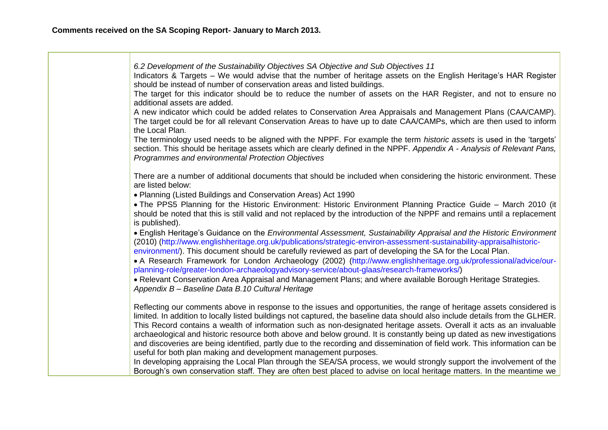*6.2 Development of the Sustainability Objectives SA Objective and Sub Objectives 11* Indicators & Targets – We would advise that the number of heritage assets on the English Heritage's HAR Register should be instead of number of conservation areas and listed buildings. The target for this indicator should be to reduce the number of assets on the HAR Register, and not to ensure no additional assets are added. A new indicator which could be added relates to Conservation Area Appraisals and Management Plans (CAA/CAMP). The target could be for all relevant Conservation Areas to have up to date CAA/CAMPs, which are then used to inform the Local Plan. The terminology used needs to be aligned with the NPPF. For example the term *historic assets* is used in the 'targets' section. This should be heritage assets which are clearly defined in the NPPF. *Appendix A - Analysis of Relevant Pans, Programmes and environmental Protection Objectives* There are a number of additional documents that should be included when considering the historic environment. These are listed below: Planning (Listed Buildings and Conservation Areas) Act 1990 The PPS5 Planning for the Historic Environment: Historic Environment Planning Practice Guide – March 2010 (it should be noted that this is still valid and not replaced by the introduction of the NPPF and remains until a replacement is published). English Heritage's Guidance on the *Environmental Assessment, Sustainability Appraisal and the Historic Environment*  (2010) (http://www.englishheritage.org.uk/publications/strategic-environ-assessment-sustainability-appraisalhistoricenvironment/). This document should be carefully reviewed as part of developing the SA for the Local Plan. A Research Framework for London Archaeology (2002) (http://www.englishheritage.org.uk/professional/advice/ourplanning-role/greater-london-archaeologyadvisory-service/about-glaas/research-frameworks/) Relevant Conservation Area Appraisal and Management Plans; and where available Borough Heritage Strategies. *Appendix B – Baseline Data B.10 Cultural Heritage* Reflecting our comments above in response to the issues and opportunities, the range of heritage assets considered is limited. In addition to locally listed buildings not captured, the baseline data should also include details from the GLHER. This Record contains a wealth of information such as non-designated heritage assets. Overall it acts as an invaluable archaeological and historic resource both above and below ground. It is constantly being up dated as new investigations and discoveries are being identified, partly due to the recording and dissemination of field work. This information can be useful for both plan making and development management purposes. In developing appraising the Local Plan through the SEA/SA process, we would strongly support the involvement of the Borough's own conservation staff. They are often best placed to advise on local heritage matters. In the meantime we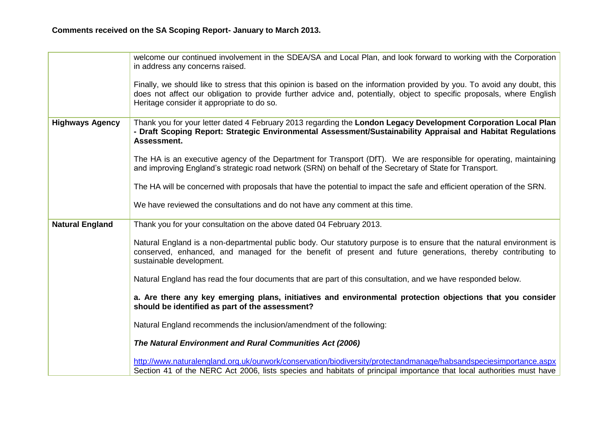|                        | welcome our continued involvement in the SDEA/SA and Local Plan, and look forward to working with the Corporation<br>in address any concerns raised.                                                                                                                                              |
|------------------------|---------------------------------------------------------------------------------------------------------------------------------------------------------------------------------------------------------------------------------------------------------------------------------------------------|
|                        | Finally, we should like to stress that this opinion is based on the information provided by you. To avoid any doubt, this<br>does not affect our obligation to provide further advice and, potentially, object to specific proposals, where English<br>Heritage consider it appropriate to do so. |
| <b>Highways Agency</b> | Thank you for your letter dated 4 February 2013 regarding the London Legacy Development Corporation Local Plan<br>- Draft Scoping Report: Strategic Environmental Assessment/Sustainability Appraisal and Habitat Regulations<br>Assessment.                                                      |
|                        | The HA is an executive agency of the Department for Transport (DfT). We are responsible for operating, maintaining<br>and improving England's strategic road network (SRN) on behalf of the Secretary of State for Transport.                                                                     |
|                        | The HA will be concerned with proposals that have the potential to impact the safe and efficient operation of the SRN.                                                                                                                                                                            |
|                        | We have reviewed the consultations and do not have any comment at this time.                                                                                                                                                                                                                      |
| <b>Natural England</b> | Thank you for your consultation on the above dated 04 February 2013.                                                                                                                                                                                                                              |
|                        | Natural England is a non-departmental public body. Our statutory purpose is to ensure that the natural environment is<br>conserved, enhanced, and managed for the benefit of present and future generations, thereby contributing to<br>sustainable development.                                  |
|                        | Natural England has read the four documents that are part of this consultation, and we have responded below.                                                                                                                                                                                      |
|                        | a. Are there any key emerging plans, initiatives and environmental protection objections that you consider<br>should be identified as part of the assessment?                                                                                                                                     |
|                        | Natural England recommends the inclusion/amendment of the following:                                                                                                                                                                                                                              |
|                        | The Natural Environment and Rural Communities Act (2006)                                                                                                                                                                                                                                          |
|                        | http://www.naturalengland.org.uk/ourwork/conservation/biodiversity/protectandmanage/habsandspeciesimportance.aspx<br>Section 41 of the NERC Act 2006, lists species and habitats of principal importance that local authorities must have                                                         |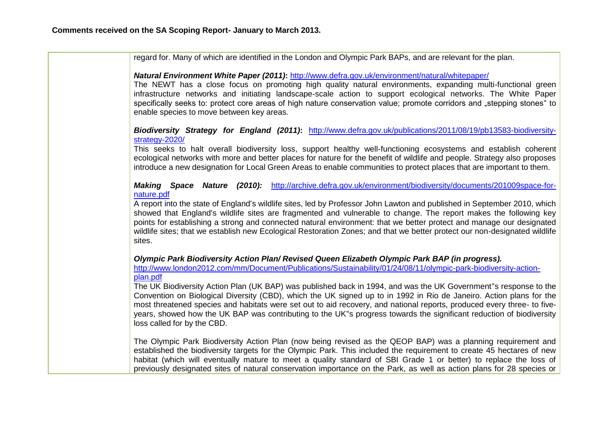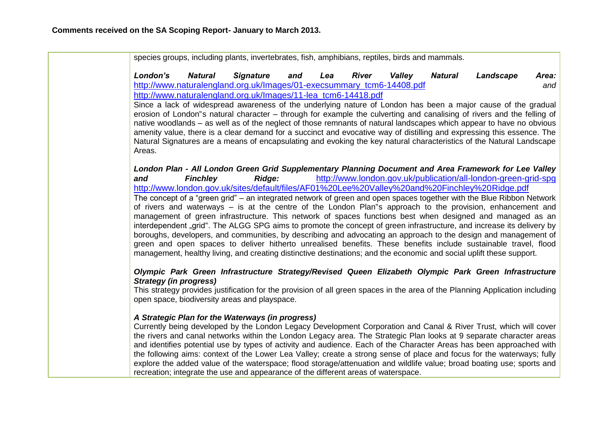|                               |                 | species groups, including plants, invertebrates, fish, amphibians, reptiles, birds and mammals.                                                            |     |     |              |               |         |                                                                                                                                                                                                                                                                                                                                                                                                                                                                                                                                                                                                                                                                                                                                                                                                                                                                                                                                                                                                                                                                                                                    |              |
|-------------------------------|-----------------|------------------------------------------------------------------------------------------------------------------------------------------------------------|-----|-----|--------------|---------------|---------|--------------------------------------------------------------------------------------------------------------------------------------------------------------------------------------------------------------------------------------------------------------------------------------------------------------------------------------------------------------------------------------------------------------------------------------------------------------------------------------------------------------------------------------------------------------------------------------------------------------------------------------------------------------------------------------------------------------------------------------------------------------------------------------------------------------------------------------------------------------------------------------------------------------------------------------------------------------------------------------------------------------------------------------------------------------------------------------------------------------------|--------------|
| London's                      | <b>Natural</b>  | <b>Signature</b><br>http://www.naturalengland.org.uk/Images/01-execsummary_tcm6-14408.pdf<br>http://www.naturalengland.org.uk/Images/11-lea_tcm6-14418.pdf | and | Lea | <b>River</b> | <b>Valley</b> | Natural | Landscape                                                                                                                                                                                                                                                                                                                                                                                                                                                                                                                                                                                                                                                                                                                                                                                                                                                                                                                                                                                                                                                                                                          | Area:<br>and |
| Areas.                        |                 |                                                                                                                                                            |     |     |              |               |         | Since a lack of widespread awareness of the underlying nature of London has been a major cause of the gradual<br>erosion of London s natural character – through for example the culverting and canalising of rivers and the felling of<br>native woodlands – as well as of the neglect of those remnants of natural landscapes which appear to have no obvious<br>amenity value, there is a clear demand for a succinct and evocative way of distilling and expressing this essence. The<br>Natural Signatures are a means of encapsulating and evoking the key natural characteristics of the Natural Landscape                                                                                                                                                                                                                                                                                                                                                                                                                                                                                                  |              |
| and                           | <b>Finchley</b> | Ridge:                                                                                                                                                     |     |     |              |               |         | London Plan - All London Green Grid Supplementary Planning Document and Area Framework for Lee Valley<br>http://www.london.gov.uk/publication/all-london-green-grid-spg<br>http://www.london.gov.uk/sites/default/files/AF01%20Lee%20Valley%20and%20Finchley%20Ridge.pdf<br>The concept of a "green grid" – an integrated network of green and open spaces together with the Blue Ribbon Network<br>of rivers and waterways – is at the centre of the London Plan s approach to the provision, enhancement and<br>management of green infrastructure. This network of spaces functions best when designed and managed as an<br>interdependent "grid". The ALGG SPG aims to promote the concept of green infrastructure, and increase its delivery by<br>boroughs, developers, and communities, by describing and advocating an approach to the design and management of<br>green and open spaces to deliver hitherto unrealised benefits. These benefits include sustainable travel, flood<br>management, healthy living, and creating distinctive destinations; and the economic and social uplift these support. |              |
| <b>Strategy (in progress)</b> |                 | open space, biodiversity areas and playspace.                                                                                                              |     |     |              |               |         | Olympic Park Green Infrastructure Strategy/Revised Queen Elizabeth Olympic Park Green Infrastructure<br>This strategy provides justification for the provision of all green spaces in the area of the Planning Application including                                                                                                                                                                                                                                                                                                                                                                                                                                                                                                                                                                                                                                                                                                                                                                                                                                                                               |              |
|                               |                 | A Strategic Plan for the Waterways (in progress)<br>recreation; integrate the use and appearance of the different areas of waterspace.                     |     |     |              |               |         | Currently being developed by the London Legacy Development Corporation and Canal & River Trust, which will cover<br>the rivers and canal networks within the London Legacy area. The Strategic Plan looks at 9 separate character areas<br>and identifies potential use by types of activity and audience. Each of the Character Areas has been approached with<br>the following aims: context of the Lower Lea Valley; create a strong sense of place and focus for the waterways; fully<br>explore the added value of the waterspace; flood storage/attenuation and wildlife value; broad boating use; sports and                                                                                                                                                                                                                                                                                                                                                                                                                                                                                                |              |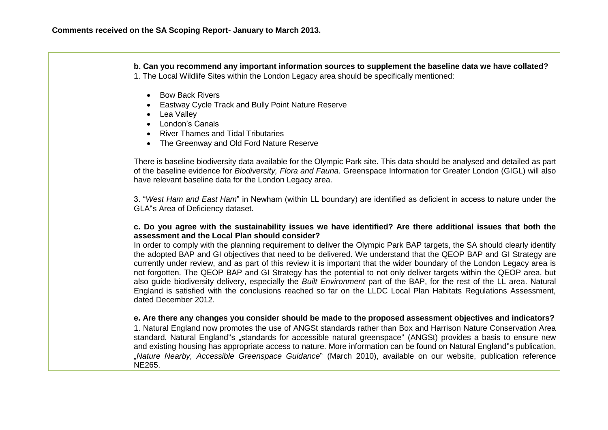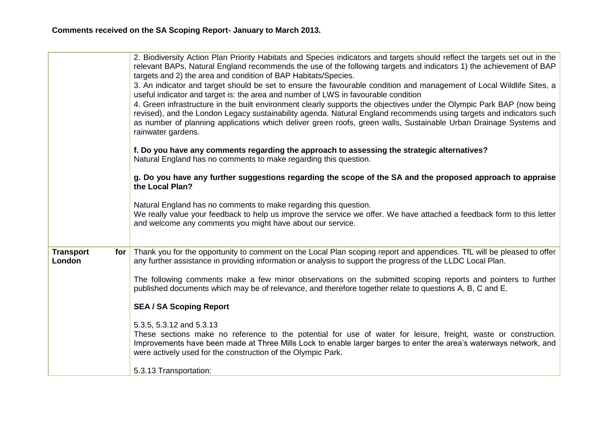|                                       | 2. Biodiversity Action Plan Priority Habitats and Species indicators and targets should reflect the targets set out in the<br>relevant BAPs, Natural England recommends the use of the following targets and indicators 1) the achievement of BAP                                                                                                                                        |
|---------------------------------------|------------------------------------------------------------------------------------------------------------------------------------------------------------------------------------------------------------------------------------------------------------------------------------------------------------------------------------------------------------------------------------------|
|                                       | targets and 2) the area and condition of BAP Habitats/Species.                                                                                                                                                                                                                                                                                                                           |
|                                       | 3. An indicator and target should be set to ensure the favourable condition and management of Local Wildlife Sites, a<br>useful indicator and target is: the area and number of LWS in favourable condition                                                                                                                                                                              |
|                                       | 4. Green infrastructure in the built environment clearly supports the objectives under the Olympic Park BAP (now being<br>revised), and the London Legacy sustainability agenda. Natural England recommends using targets and indicators such<br>as number of planning applications which deliver green roofs, green walls, Sustainable Urban Drainage Systems and<br>rainwater gardens. |
|                                       | f. Do you have any comments regarding the approach to assessing the strategic alternatives?<br>Natural England has no comments to make regarding this question.                                                                                                                                                                                                                          |
|                                       | g. Do you have any further suggestions regarding the scope of the SA and the proposed approach to appraise<br>the Local Plan?                                                                                                                                                                                                                                                            |
|                                       | Natural England has no comments to make regarding this question.<br>We really value your feedback to help us improve the service we offer. We have attached a feedback form to this letter<br>and welcome any comments you might have about our service.                                                                                                                                 |
|                                       |                                                                                                                                                                                                                                                                                                                                                                                          |
| <b>Transport</b><br>for $ $<br>London | Thank you for the opportunity to comment on the Local Plan scoping report and appendices. TfL will be pleased to offer<br>any further assistance in providing information or analysis to support the progress of the LLDC Local Plan.                                                                                                                                                    |
|                                       | The following comments make a few minor observations on the submitted scoping reports and pointers to further<br>published documents which may be of relevance, and therefore together relate to questions A, B, C and E.                                                                                                                                                                |
|                                       | <b>SEA / SA Scoping Report</b>                                                                                                                                                                                                                                                                                                                                                           |
|                                       | 5.3.5, 5.3.12 and 5.3.13<br>These sections make no reference to the potential for use of water for leisure, freight, waste or construction.<br>Improvements have been made at Three Mills Lock to enable larger barges to enter the area's waterways network, and<br>were actively used for the construction of the Olympic Park.                                                        |
|                                       | 5.3.13 Transportation:                                                                                                                                                                                                                                                                                                                                                                   |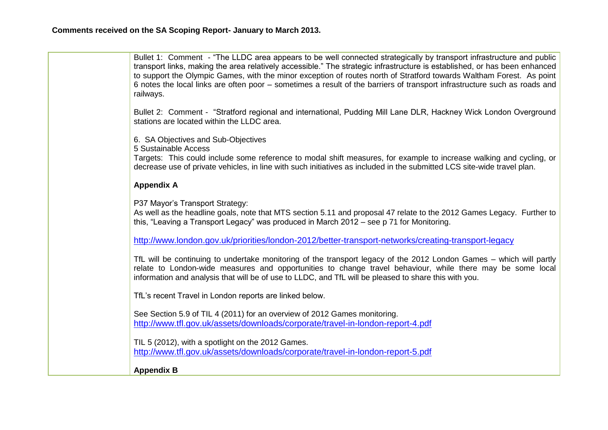| Bullet 1: Comment - "The LLDC area appears to be well connected strategically by transport infrastructure and public<br>transport links, making the area relatively accessible." The strategic infrastructure is established, or has been enhanced<br>to support the Olympic Games, with the minor exception of routes north of Stratford towards Waltham Forest. As point<br>6 notes the local links are often poor – sometimes a result of the barriers of transport infrastructure such as roads and<br>railways. |
|----------------------------------------------------------------------------------------------------------------------------------------------------------------------------------------------------------------------------------------------------------------------------------------------------------------------------------------------------------------------------------------------------------------------------------------------------------------------------------------------------------------------|
| Bullet 2: Comment - "Stratford regional and international, Pudding Mill Lane DLR, Hackney Wick London Overground<br>stations are located within the LLDC area.                                                                                                                                                                                                                                                                                                                                                       |
| 6. SA Objectives and Sub-Objectives<br>5 Sustainable Access<br>Targets: This could include some reference to modal shift measures, for example to increase walking and cycling, or<br>decrease use of private vehicles, in line with such initiatives as included in the submitted LCS site-wide travel plan.                                                                                                                                                                                                        |
| <b>Appendix A</b>                                                                                                                                                                                                                                                                                                                                                                                                                                                                                                    |
| P37 Mayor's Transport Strategy:<br>As well as the headline goals, note that MTS section 5.11 and proposal 47 relate to the 2012 Games Legacy. Further to<br>this, "Leaving a Transport Legacy" was produced in March 2012 - see p 71 for Monitoring.                                                                                                                                                                                                                                                                 |
| http://www.london.gov.uk/priorities/london-2012/better-transport-networks/creating-transport-legacy                                                                                                                                                                                                                                                                                                                                                                                                                  |
| TfL will be continuing to undertake monitoring of the transport legacy of the 2012 London Games – which will partly<br>relate to London-wide measures and opportunities to change travel behaviour, while there may be some local<br>information and analysis that will be of use to LLDC, and TfL will be pleased to share this with you.                                                                                                                                                                           |
| TfL's recent Travel in London reports are linked below.                                                                                                                                                                                                                                                                                                                                                                                                                                                              |
| See Section 5.9 of TIL 4 (2011) for an overview of 2012 Games monitoring.<br>http://www.tfl.gov.uk/assets/downloads/corporate/travel-in-london-report-4.pdf                                                                                                                                                                                                                                                                                                                                                          |
| TIL 5 (2012), with a spotlight on the 2012 Games.<br>http://www.tfl.gov.uk/assets/downloads/corporate/travel-in-london-report-5.pdf                                                                                                                                                                                                                                                                                                                                                                                  |
| <b>Appendix B</b>                                                                                                                                                                                                                                                                                                                                                                                                                                                                                                    |